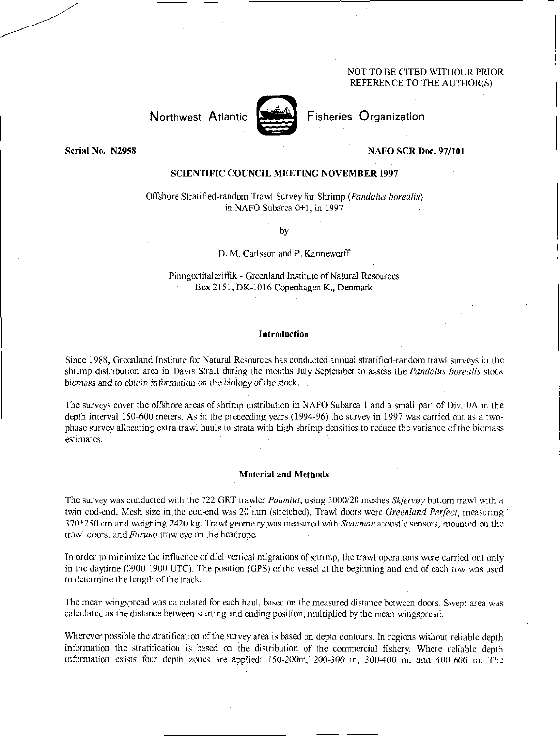## NOT TO BE CITED WITHOUR PRIOR REFERENCE TO THE AUTHOR(S)

Northwest Atlantic



Fisheries Organization

Serial No. N2958

#### NAFO SCR Doc. 97/101

# SCIENTIFIC COUNCIL MEETING NOVEMBER 1997

Offshore Stratified-random Trawl Survey for Shrimp *(Pandalus borealis)*  in NAFO Subarea 0+1, in 1997

by

#### D. M. Carlsson and P. Kanneworff

Pinngortitaleriffik - Greenland Institute of Natural Resources Box 2151, DK-I016 Copenhagen K., Denmark

## Introduction

Since 1988, Greenland Institute for Natural Resources has conducted annual stratified-random trawl surveys in the shrimp distribution area in Davis Strait during the months July-September to assess the *Pandalus borealis* stock *biomass* and *to obtain information on* the biology *of the stock.* 

The surveys cover the offshore areas of shrimp distribution in NAFO Subarea 1 and a small part of Div. OA in the depth interval 150-600 meters. As in the preceeding years (1994-96) the survey in 1997 was carried out as a twophase survey allocating extra trawl hauls to strata with high shrimp densities to reduce the variance of the biomass estimates.

## Material and Methods

The survey was conducted with the 722 GRT trawler *Paamiut,* using 3000/20 meshes *Sk/ervoy* bottom trawl with a twin cod-end. Mesh size in the cod-end was 20 mm (stretched). Trawl doors were *Greenland Perfect,* measuring' 370\*250 cm and weighing 2420 kg. Trawl geometry was measured with *Seanmar* acoustic sensors, mounted on the trawl doors, and *Furuno* trawleye on the headrope.

In order to minimize the influence of did vertical migrations of shrimp, the trawl operations were carried out only in the daytime (0900-1900 UTC). The position (GPS) of the vessel at the beginning and end of each tow was used to determine the length of the track.

The mean wingspread was calculated for each haul, based on the measured distance between doors. Swept area was calculated as the distance between starting and ending position, multiplied by the mean wingspread.

Wherever possible the stratification of the survey area is based on depth contours. In regions without reliable depth information the stratification is based on the distribution of the commercial fishery. Where reliable depth information exists four depth zones are applied:  $150-200$  m,  $200-300$  m,  $300-400$  m, and  $400-600$  m. The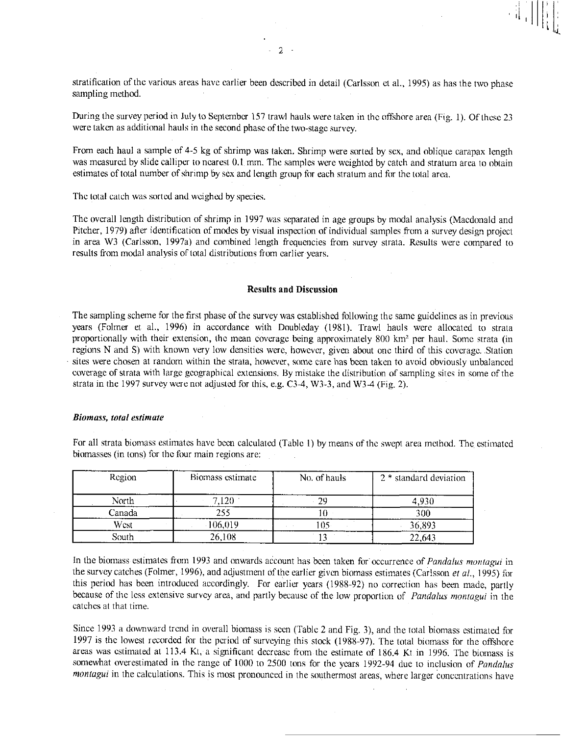stratification of the various areas have earlier been described in detail (Carlsson et al., 1995) as has the two phase sampling method.

During the survey period in July to September 157 trawl hauls were taken in the offshore area (Fig. 1). Of these 23 were taken as additional hauls in the second phase of the two-stage survey.

From each haul a sample of 4-5 kg of shrimp was taken. Shrimp were sorted by sex, and oblique carapax length was measured by slide calliper to nearest 0.1 mm. The samples were weighted by catch and stratum area to obtain estimates of total number of shrimp by sex and length *group* for each stratum and for the total area.

The total catch was sorted and weighed by species.

The overall length distribution of shrimp in 1997 was separated in age groups by modal analysis (Macdonald and Pitcher, 1979) after identification of modes by visual inspection of individual samples from a survey design project in area W3 (Carlsson, 1997a) and combined length frequencies from survey strata. Results were compared to results from modal analysis of total distributions from earlier years.

## Results and Discussion

The sampling scheme for the first phase of the survey was established following the same guidelines as in previous years (Folmer et al., 1996) in accordance with Doubleday (1981). Trawl hauls were allocated to strata proportionally with their extension, the mean coverage being approximately 800 km' per haul. Some strata (in regions N and S) with known very low densities were, however, given about one third of this coverage. Station sites were chosen at random within the strata, however, some care has been taken to avoid obviously unbalanced coverage of strata with large geographical extensions. By mistake the distribution of sampling sites in some of the strata in the 1997 survey were not adjusted for this, e.g. C3-4, W3-3, and W3-4 (Fig. 2).

### *Biomass, total estimate*

| Region | Biomass estimate | No. of hauls | 2 * standard deviation |
|--------|------------------|--------------|------------------------|
| North  | 7.120            | 29           | 4,930                  |
| Canada |                  |              | 300                    |
| West   | 106,019          |              | 36,893                 |
| South  | 26,108           |              | 22,643                 |

For all strata biomass estimates have been calculated (Table 1) by means of the swept area method. The estimated biomasses (in tons) for the four main regions are:

In the biomass estimates from 1993 and onwards account has been taken for occurrence of *Pandalus motaagui* in the survey catches (Folmer, 1996), and adjustment of the earlier given biomass estimates (Carlsson *et al.,* 1995) for this period has been introduced accordingly. For earlier years (1988-92) no correction has been made, partly because of the less extensive survey area, and partly because of the low proportion of *Pandalus montagui* in the catches at that time.

Since 1993 a downward trend in overall biomass is seen (Table 2 and Fig. 3), and the total biomass estimated for 1997 is the lowest recorded for the period of surveying this stock (1988-97). The total biomass for the offshore areas was estimated at 113.4 Kt, a significant decrease from the estimate of 186.4 Kt in 1996. The biomass is somewhat overestimated in the range of 1000 to 2500 tons for the years 1992-94 due to inclusion of *Pandalus montagui* in the calculations. This is most pronounced in the southermost areas, where larger concentrations have

2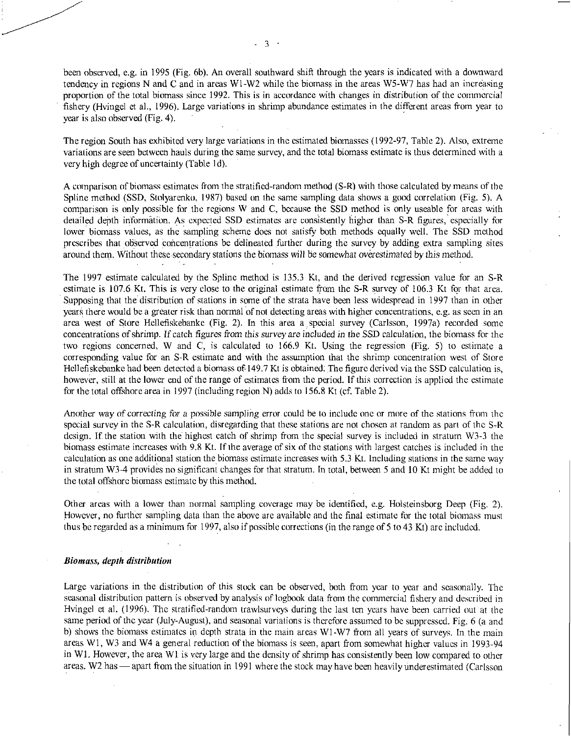been observed, e.g. in 1995 (Fig. 6b). An overall southward shift through the years is indicated with a downward tendency in regions N and C and in areas WI-W2 while the biomass in the areas W5-W7 has had an increasing proportion of the total biomass since 1992. This is in accordance with changes in distribution of the commercial fishery (Hvingel et al., 1996). Large variations in shrimp abundance estimates in the different areas from year to year is also observed (Fig. 4).

The region South has exhibited very large variations in the estimated biomasses (1992-97, Table 2). Also, extreme variations are seen between hauls during the same survey, and the total biomass estimate is thus determined with a very high degree of uncertainty (Table Id).

A comparison of biomass estimates from the stratified-random method (S-R) with those calculated by means of the Spline method (SSD, Stolyarenko, 1987) based on the same sampling data shows a good correlation (Fig. 5). A comparison is only possible for the regions W and C, because the SSD method is only useable for areas with detailed depth informatibn. As expected SSD estimates are consistently higher than S-R figures, especially for lower biomass values, as the sampling scheme does not satisfy both methods equally well. The SSD method prescribes that observed concentrations be delineated further during the survey by adding extra sampling sites around them. Without these secondary stations the biomass will be somewhat *overestimated* by this method.

The 1997 estimate calculated by the Spline method is 135.3 Kt, and the derived regression value for an S-R estimate is 107.6 Kt. This is very close to the original estimate from the S-R survey of 106.3 Kt for that area. Supposing that the distribution of stations in some of the strata have been less widespread in 1997 than in other years there would be a greater risk than normal of not detecting areas with higher concentrations, e.g. as seen in an area west of Store Hellefiskebanke (Fig. 2). In this area a special survey (Carlsson, 1997a) recorded some concentrations of shrimp. If catch figures *from this survey are* included in *the* SSD calculation, the biomass for the two regions concerned, W and C, is calculated to 166.9 Kt. Using the regression (Fig. 5) to estimate a corresponding value for an S-R estimate and with the assumption that the shrimp concentration west of Store Hellefiskebanke had been detected a biomass of 149.7 Kt is obtained: The figure derived via the SSD calculation is, however, still at the lower end of the range of estimates from the period. If this correction is applied the estimate for the total offshore area in 1997 (including region N) adds to 156.8 Kt (cf. Table 2).

Another way *of correcting for a possible* sampling error could be to include one or more of the stations from the special survey in the S-R calculation, disregarding that these stations are not chosen at random as part of the S-R design. If the station with the highest catch of shrimp from the special survey is included in stratum W3-3 the biomass estimate increases with 9.8 Kt. If the average of six of the stations with largest catches is included in the calculation as one additional station the biomass estimate increases with 5.3 Kt. Including stations in the same way in stratum W3-4 provides no significant changes for that stratum. In total, between 5 and 10 Kt might be added to the total offshore biomass estimate by this method.

Other areas with a lower than normal sampling coverage may be identified, e.g. Holsteinsborg Deep (Fig. 2). However, no further sampling data than the above are available and the final estimate for the total biomass must thus be regarded as a minimum for 1997, also if possible corrections (in the range of 5 to 43 Kt) are included.

#### *Biomass, depth distribution*

Large variations in the distribution of this stock can be observed, both from year to year and seasonally. The seasonal distribution pattern is observed by analysis of logbook data from the commercial fishery and described in Hvingel et al. (1996). The stratified-random trawlsurveys during the last ten years have been carried out at the same period of the year (July-August), and seasonal variations is therefore assumed to be suppressed. Fig. 6 (a and b) shows the biomass estimates in depth strata in the main areas WI-W7 from all years of surveys. In the main areas Wl, W3 and W4 a general reduction of the biomass is seen, apart from somewhat higher values in 1993-94 in WI. However, the area WI is very large and the density of shrimp has consistently been low compared to other areas. W2 has — apart from the situation in 1991 where the stock may have been heavily underestimated (Carlsson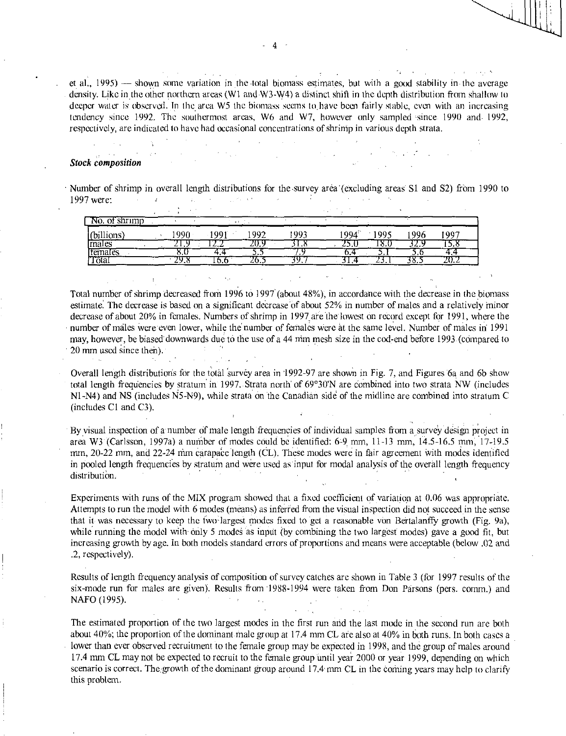et al., 1995) — shown some variation in the total biomass estimates, but with a good stability in the average density. Like in the other northern areas (W1 and W3-W4) a distinct shift in the depth distribution from shallow to deeper water is observed. In the area W5 the biomass seems to. have been fairly stable, even with an increasing tendency since 1992. The southermost areas, W6 and W7, however only sampled since 1990 and 1992, respectively, are indicated to have had occasional concentrations of shrinip in various depth strata.

## *Stock composition*

Number of shrimp in overall length distributions for the survey area (excluding areas S1 and S2) from 1990 to しょうしゅう ストール かくりょう ストール・ディー・エンジャー 1997 were: **Contractor** 

| shrimp<br>N0.<br>ΩŤ<br>v. |             |         |         |      |      |      |      |      |  |
|---------------------------|-------------|---------|---------|------|------|------|------|------|--|
| billions.                 | 1990        | QQ.     | 992     | 1993 | 994  | .005 | -996 | 997  |  |
| males                     | . .         | ست و ست | ZV.,    | 1.W  | ل رے | 10.U | .    | 19.0 |  |
| temales                   | o.v         | т.      | - - -   |      | J.   | J.   | ى ب  |      |  |
| Tōtal                     | ۰.,<br>47.0 | 10.U    | ر . ں . |      | - 1  | ---- | JO.J | 40.4 |  |

Total number of shrimp decreased from 1996 to 1997 (about 48%), in accordance with the decrease in the biomass estimate. The decrease is based on a significant decrease of about 52% in number of males and a relatively minor decrease of about 20% in females. Numbers of shrimp in 1997 are the lowest on record except for 1991, where the number of males were'even lower, while the number of females were at the same level. Number of males in 1991 may, however, be biased' downtvards due to the use of a 44 mm mesh size in the cod-end before 1993 (compared to 20 mm used since then).

Overall length distributions for the total survey area in 1992-97 are shown in Fig. 7, and Figures 6a and 6b show total length frequencies by stratum in 1997. Strata north of 69°30'N are combined into two strata NW (includes N1-N4) and NS (includes N5-N9), while strata on the Canadian side of the midline are combined into stratum C (includes Cl and C3).

By visual inspection of a number of male length frequencies of individual samples from a survey design project in area W3 (Carlsson, 1997a) a number of modes could be identified: 6-9. mm, 11-13 mm, 14.5-16.5 mm; 17-19.5 mm, 20-22 mm, and 22-24 mm carapace length (CL). These modes were in fair agreement with modes identified in pooled length frequencies by stratum and were used as input for modal analysis of the overall length frequency distribution.

Experiments with runs of the MIX program showed that a fixed coefficient of variation at 0.06 was appropriate. Attempts to run the model with 6 modes (means) as inferfed from the visual inspection did not succeed in the sense that it was necessary to keep the two-largest modes fixed to get a reasonable von Bertalanffy growth (Fig. 9a), while running the model with only 5 modes as input (by combining the two largest modes) gave a good fit, but increasing growth by age. In both models standard errors of proportions and means were acceptable (below .02 and .2, respectively).

Results of length frequency analysis of composition of survey catches are shown in Table 3 (for 1997 results of the six-mode run for males are given). Results from 1988-1994 were taken from Don Parsons (pers. comm.) and  $\label{eq:2.1} \mathcal{L}(\mathcal{L}(\mathcal{L}^{\mathcal{L}})) = \mathcal{L}(\mathcal{L}^{\mathcal{L}}) = \mathcal{L}(\mathcal{L}^{\mathcal{L}}) = \mathcal{L}(\mathcal{L}^{\mathcal{L}}) = \mathcal{L}(\mathcal{L}^{\mathcal{L}}) = \mathcal{L}(\mathcal{L}^{\mathcal{L}})$ NAFO (1995).

The estimated proportion of the two largest modes in the first run and the last mode in the second run are both about 40%; the proportion of the dominant male group at 17.4 mm CL are also at 40% in both runs. In both cases a lower than ever observed recruitment to the female group may be expected in 1998, and the group of males around 17.4 mm CL may not be expected to recruit to the fetnale group until year 2000 or year 1999, depending on which scenario is correct. The growth of the dominant group around 17.4 mm CL in the coming years may help to clarify this problem.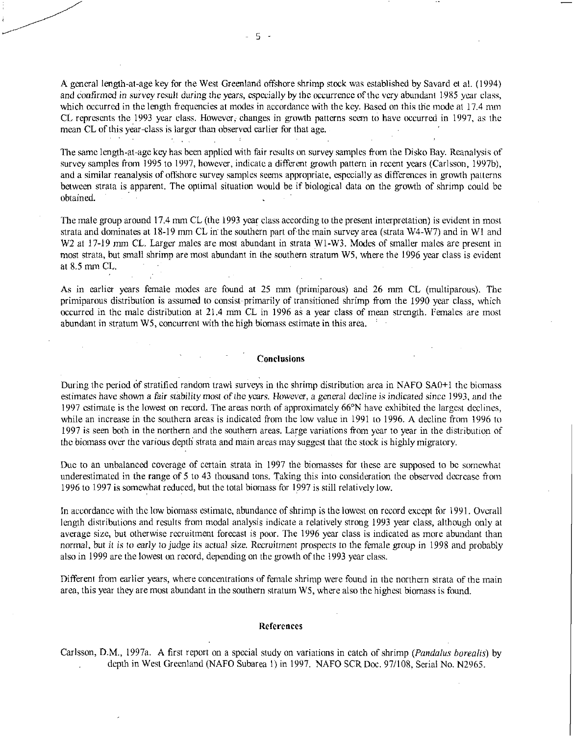A general length-at-age key for the West Greenland offshore shrimp stock was established by Savard et al. (1994) and *confirmed* in survey result *during* the *years,* especially by the occurrence of the very abundant 1985 year class, which occurred in the length frequencies at modes in accordance with the key. Based on this the mode at 17.4 mm CL represents the 1993 year class. However, changes in growth patterns seem to have occurred in 1997, as the mean CL of this year-class is larger than observed earlier for that age.

The same length-at-age key has been applied with fair results on survey samples from the Disko Bay. Reanalysis of survey samples from 1995 to 1997, however, indicate a different growth pattern in recent years (Carlsson, 1997b), and a similar reanalysis of offshore survey samples seems appropriate, especially as differences in growth patterns between strata is apparent. The optimal situation would be if biological data on the growth of shrimp could be obtained.

The male group around **17.4** mm CL (the 1993 year class according to the present interpretation) is evident in most strata and dominates at 18-19 mm CL in the southern part of the main survey area (strata W4-W7) and in WI and W<sub>2</sub> at 17-19 mm CL. Larger males are most abundant in strata W<sub>1</sub>-W<sub>3</sub>. Modes of smaller males are present in most strata, but small shrimp are most abundant in the southern stratum W5, where the 1996 year class is evident at 8.5 mm CL.

As in earlier years female modes are found at 25 mm (primiparous) and 26 mm CL (multiparous). The primiparous distribution is assumed to consist primarily of transitioned shrimp from the 1990 year class, which occurred in the male distribution at 21.4 mm CL in 1996 as a year class of mean strength. Females are most abundant in stratum W5, concurrent with the high biomass estimate in this area. •

## **Conclusions**

During the period of stratified random trawl surveys in the shrimp distribution area in NAFO SA0+1 the biomass estimates have shown a fair stability most *of* the *years. However, a general decline* is indicated *since* 1993, and the 1997 estimate is the lowest on record. The areas north of approximately 66°N have exhibited the largest declines, while an increase in the southern areas is indicated from the low value in 1991 to 1996. A decline from 1996 to 1997 is seen both in the northern and the southern areas. Large variations from year to year in the distribution of the biomass over the various depth strata and main areas may suggest that the stock is highly migratory.

Due to an unbalanced coverage of certain strata in 1997 the biomasses for these are supposed to be somewhat underestimated in the range of 5 to 43 thousand tons. Taking this into consideration the observed decrease from 1996 to 1997 is somewhat reduced, but the total biomass for 1997 is still relatively low.

In accordance with the low biomass estimate, abundance of shrimp is the lowest on record except for 1991. Overall length distributions and results from modal analysis indicate a relatively strong 1993 year class, although only at average size, but otherwise recruitment forecast is poor. The 1996 year class is indicated as more abundant than normal, but it is *to early* to judge its *actual size.* Recruitment prospects to the female group in 1998 and probably also in 1999 are the lowest on record, depending on the growth of the 1993 year class.

Different from earlier years, where concentrations of female shrimp were found in the northern strata of the main area, this year they are most abundant in the southern stratum W5, where also the highest biomass is found.

#### **References**

Carlsson, **D.M.,** 1997a. A first report on a special study on variations in catch of shrimp *(Pandalus borealis)* by depth in West Greenland (NAFO Subarea 1) in 1997. NAFO SCR Doc. 97/108, Serial No. N2965.

 $\mathcal{C}^{\text{max}}$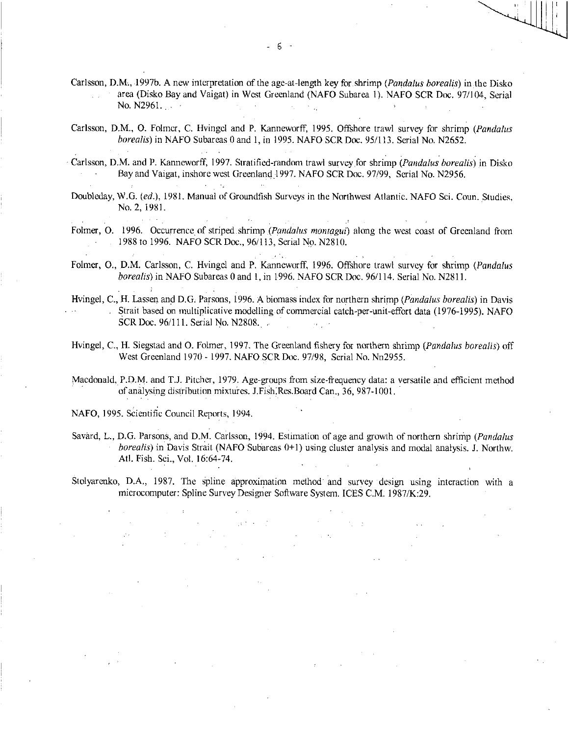- Carlsson, D.M., 1997b. A new interpretation of the age-at-length key for shrimp *(Pandalus borealis)* in the Disko area (Disko Bay and Vaigat) in West Greenland (NAFO Subarea 1). NAFO SCR Doc. 97/104, Serial No. N296I.  $\mathcal{A}_{\mathcal{A}}$  . ri y
- Carlsson, D.M., 0. Folmer, C. Hvingel and P. Kanneworff, 1995. Offshore trawl survey for shrimp *(Pandalus borealis)* in NAFO Subareas 0 and 1, in 1995. NAFO SCR Doc. 95/113. Serial No. N2652.
- Carlsson, D.M. and P. Kanneworff, 1997. Stratified-random trawl survey,for shrimp *(Pandalus borealis)* in Disko Bay and Vaigat, inshore west Greenland 1997. NAFO SCR Doc. 97/99, Serial No. N2956.
- Doubleday, W.G. *(ed.),* 1981. Manual of Groundfish Surveys in the Northwest Atlantic. NAFO Sci. Coun. Studies, No. 2, 1981.
- Folmer, 0. 1996. Occurrence of striped.shrimp *(Pondalus montagui)* along the west coast of Greenland from 1988 to 1996. NAFO SCR Doc., 96/113, Serial No. N2810.
- Folmer, 0., D.M. Carlsson, C. Hvingel and P. Kanneworff, 1996. Offshore trawl survey for shrimp *(Pandalus borealis)* in NAFO Subareas 0 and 1, in 1996. NAFO SCR Doc. 96/114. Serial No. N2811.
- Hvingel, C., H. Lassen and D.G. Parsons, 1996. A biomass index for northern shrimp *(Pandalus borealis)* in Davis . Strait based on multiplicative modelling of commercial catch-per-unit-effort data (1976-1995). NAFO SCR Doc. 96/111. Serial No. N2808.
- Hvingel, C., H. Siegstad and 0. Folmer, 1997. The Greenland fishery for northern shrimp *(Pandalus borealis)* off West Greenland 1970 - 1997. NAFO SCR Doc. 97/98, Serial No. Nn2955.
- Macdonald, P.D.M. and T.J. Pitcher, 1979. Age-groups from size-frequency data: a versatile and efficient method of analysing distribution mixtuies. J.Fish:Res.Board Can., 36, 987-1001.
- NAFO, 1995. Scientific Council Reports, 1994.

 $\sim$   $\sim$ 

- Savard, L., D.G. Parsons, and D.M. Carlsson, 1994. Estimation of age and growth of northern shrinip *(Pandalus borealis)* in Davis Strait (NAFO Subareas 0+1) using cluster analysis and modal analysis. J. Northw. Atl. Fish. Sci., Vol. 16:64-74.
- Stolyarenko, D.A., 1987. The spline approximation method' and survey design using interaction with a microcomputer: Spline Survey Designer Software System. ICES C.M. 1987/K:29.

 $\pm 1.5$  .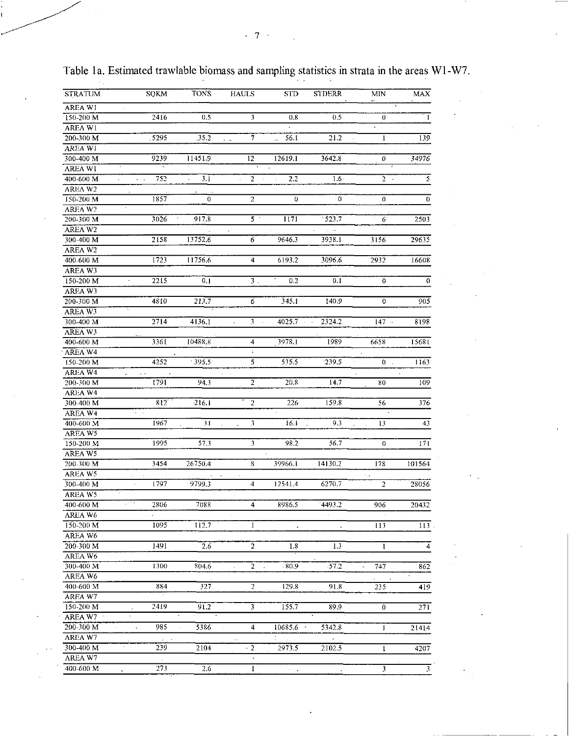| <b>STRATUM</b> | <b>SOKM</b>                | <b>TONS</b>             | <b>HAULS</b>            | <b>STD</b> | <b>STDERR</b>                   | MIN                     | MAX          |
|----------------|----------------------------|-------------------------|-------------------------|------------|---------------------------------|-------------------------|--------------|
| AREA W1        |                            |                         |                         |            |                                 |                         |              |
| 150-200 M      | 2416                       | 0.5                     | 3                       | 0,8        | 0.5                             | $\theta$                | $\mathbf{I}$ |
| <b>AREAW1</b>  |                            |                         |                         |            |                                 | $\ddot{\phantom{0}}$    |              |
| 200-300 M      | .5295                      | .35.2                   | 7<br>$\sim$             | 56.1       | 21.2.                           | $\cdot$                 | 139          |
| AREA W1        |                            |                         |                         |            |                                 |                         |              |
| 300-400 M      | 9239                       | 11451.9                 | 12                      | 12619.1    | 3642.8                          | Ű                       | 34976        |
| <b>AREA W1</b> |                            |                         |                         |            |                                 |                         |              |
| 400-600 M      | 752<br>. .                 | 3.1                     | 2                       | 2.2        | 1.6 <sub>2</sub>                | $2 -$                   | 5            |
| AREA W2        |                            |                         |                         |            |                                 |                         |              |
| 150-200 M      | 1857                       | $\Omega$                | $\overline{2}$          | $\Omega$   | $\Omega$                        | 0                       | $\theta$     |
| AREA W2        |                            |                         |                         |            |                                 |                         |              |
| 200-300 M      | 3026                       | 917.8                   | 5 <sup>o</sup>          | 1171       | $-523.7$                        | $\cdot$<br>6            | 2503         |
| <b>AREA W2</b> |                            |                         | $\cdot$                 |            | $\epsilon \rightarrow \epsilon$ |                         |              |
| 300-400 M      | 2158                       | 13752.6                 | 6                       | 9646.3     | 3938.1                          | 3156                    | 29635        |
| AREA W2        |                            |                         |                         |            |                                 |                         |              |
| 400-600 M      | 1723                       | 11756.6                 | 4                       | 6193.2     | 3096.6                          | 2932                    | 16608        |
|                |                            |                         |                         |            |                                 |                         |              |
| AREA W3        |                            |                         |                         | ٠,         |                                 |                         |              |
| 150-200 M      | 2215                       | 0.1                     | 3 <sub>1</sub>          | 0.2        | 0.1                             | $\Omega$                | $\Omega$     |
| AREA W3        |                            |                         |                         |            |                                 |                         |              |
| 200-300 M      | 4310                       | 213.7                   | 6                       | 345.1      | 140.9                           | 0                       | 905          |
| AREA W3        |                            |                         |                         |            |                                 |                         |              |
| 300-400 M      | 2714                       | 4136.1                  | 3                       | 4025.7     | 2324.2                          | $147 -$                 | 8198         |
| AREA W3        |                            |                         |                         |            |                                 |                         |              |
| 400-600 M      | 3361                       | 10488.8                 | 4                       | 3978.1     | 1989                            | 6658                    | 15681        |
| AREA W4        |                            |                         | ÷                       |            |                                 |                         |              |
| 150-200 M      | 4252                       | 395.5                   | $\overline{\mathbf{5}}$ | 535.5      | 239.5                           | 0                       | 1163         |
| <b>AREA W4</b> |                            |                         |                         |            |                                 |                         |              |
| 200-300 M      | 1791                       | 943                     | $\overline{2}$          | 20.8       | 147                             | 80                      | 109          |
| AREA W4        |                            |                         |                         |            |                                 |                         |              |
| 300-400 M      | 812                        | 2161                    | $\overline{2}$          | 226        | 159.8                           | 56                      | 376          |
| AREA W4        |                            |                         |                         |            |                                 |                         |              |
| 400-600 M      | 1967                       | 31                      | 3<br>and the sale       | . 16.1     | 9.3                             | 13<br>$\sim$            | 43           |
| AREA W5        |                            |                         |                         |            |                                 |                         |              |
| 150-200 M      | 1995                       | 57.3                    | 3                       | 98.2       | 56.7                            | 0                       | 171          |
| AREA W5        |                            |                         |                         |            |                                 |                         |              |
| 200-300 M      | 3454                       | 26750.4                 | 8                       | 39966.1    | 14130.2                         | 178                     | 101564       |
| AREA W5        |                            |                         |                         |            |                                 |                         |              |
| 300-400 M      | 1797<br>$\hat{\mathbf{r}}$ | 97993                   | $\overline{4}$          | 12541.4    | 6270.7                          | $\overline{2}$          | 28056        |
| AREA W5        |                            |                         |                         |            |                                 |                         |              |
| 400-600 M      | year a<br>2806             | 7088                    | 4                       | 8986.5     | 4493.2                          | 906                     | 20432        |
| AREA W6        |                            |                         |                         |            |                                 |                         |              |
| 150-200 M      | 1095                       | 112.7                   | 1                       | ×,         |                                 | 113                     | 113          |
| AREA W6        |                            |                         |                         |            |                                 |                         |              |
| 200-300 M      | 1491                       | 2.6                     | $\overline{2}$          | 1.8        | 1.3                             | 1                       | 4            |
| AREA W6        |                            |                         |                         |            |                                 |                         |              |
| 300-400 M      | 1300                       | 804.6                   | $\overline{2}$          | .80.9      | 57.2                            | 747                     | 862          |
| AREA W6        |                            |                         |                         |            |                                 |                         |              |
| 400-600 M      | 884                        | 327                     | $\overline{2}$          | 129.8      | 91.8                            | 235                     | 419          |
| AREA W7        |                            |                         |                         |            |                                 |                         |              |
| 150-200 M      | 2419                       | 91.2                    |                         | 155.7      | 89.9                            | 0                       |              |
| AREA W7 ·      |                            | $\sigma = \sigma$<br>٠. |                         |            |                                 |                         | 271          |
|                |                            |                         |                         |            |                                 |                         |              |
| 200-300 M      | 985<br>$\hat{\mathbf{v}}$  | 5386                    | 4<br>$\epsilon$         | 10685.6    | 5342.8                          | 1                       | 21414        |
| AREA W7        | ×                          |                         | $\epsilon$              |            | $\sigma_{\rm{max}}$             |                         |              |
| 300-400 M      | 239                        | 2104                    | $\cdot$ 2               | 2973.5     | 2102.5                          | $\mathbf{1}$            | 4207         |
| AREA W7        |                            |                         | $\bullet$               |            |                                 |                         |              |
| 400-600 M      | 273                        | 2.6                     | L                       |            |                                 | $\overline{\mathbf{3}}$ | 3            |

Table 1a. Estimated trawlable biomass and sampling statistics in strata in the areas W1-W7.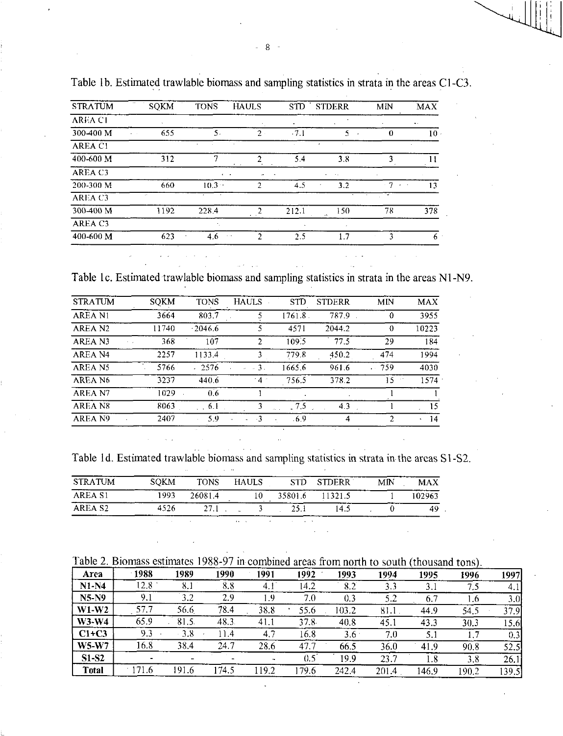| <b>STRATUM</b>      | <b>SQKM</b> | <b>TONS</b>          | <b>HAULS</b>                   |                          | STD STDERR              | MN                       | <b>MAX</b>       |
|---------------------|-------------|----------------------|--------------------------------|--------------------------|-------------------------|--------------------------|------------------|
| <b>AREA CI</b>      |             |                      |                                | $\overline{\phantom{a}}$ |                         |                          | $\ddot{\bullet}$ |
| 300-400 M           | 655         | 5.                   | $\mathcal{P}$                  | $-7.1$                   | 5.                      | 0                        | $10 -$           |
| AREA C1             |             | $\cdot$              |                                |                          | ٠                       |                          | ٠                |
| 400-600 M           | 312         |                      | າ                              | 5.4                      | 3.8                     | 3                        | 11               |
| AREA C3             |             | $\sigma$ , $\sigma$  | $\mathbf{r}$                   |                          | $\sim$<br>$\sim$ $\sim$ |                          |                  |
| 200-300 M           | 660         | $10.3 -$             | C.                             | 4.5                      | 3.2<br>$\star$          | $-7$<br><b>Carl Carl</b> | 13               |
| AREA C3             | as.         | $\ddot{\phantom{1}}$ |                                |                          | $\sim$                  | ٠<br>$\mathbf{v}$        |                  |
| 300-400 M           | 1192        | 228.4                | 2<br>$\epsilon = 1$            | 212.1                    | 150<br>$\lambda$        | 78                       | 378              |
| AREA C <sub>3</sub> |             |                      |                                |                          |                         |                          |                  |
| 400-600 M           | 623         | 4.6<br>$\sim$ $\sim$ | $\mathcal{P}$<br>$\sim$ $\sim$ | 2.5                      | 1.7                     | ٦                        | 6                |

Table lb. Estimated trawlable biomass and sampling statistics in strata in the areas CI-C3.

Table lc. Estimated trawlable biomass and sampling statistics in strata in the areas N1-N9.

 $\mathcal{L}^{\text{max}}_{\text{max}}$  and  $\mathcal{L}^{\text{max}}_{\text{max}}$ 

| <b>STRATUM</b>      | SOKM  | <b>TONS</b> | <b>HAULS</b>     | <b>STD</b> | <b>STDERR</b> | MN       | <b>MAX</b>       |
|---------------------|-------|-------------|------------------|------------|---------------|----------|------------------|
| <b>AREA N1</b>      | 3664  | 803.7       |                  | 1761.8     | 787.9         | $\Omega$ | 3955             |
| AREA N <sub>2</sub> | 11740 | $-2046.6$   |                  | 4571       | 2044.2        | -0       | 10223            |
| AREA N3             | 368   | 107         | $\mathcal{L}$    | 109.5      | 77.5          | 29       | 184              |
| AREA N <sub>4</sub> | 2257  | 1133.4      | 3                | 779.8      | 450.2         | 474      | 1994             |
| AREA N5             | 5766  | $-2576$     | $\overline{3}$ . | 1665.6     | 961.6         | .759     | 4030             |
| AREA N6             | 3237  | 440.6       | $4^{\circ}$      | 756.5      | 378.2         | 15       | 1574             |
| AREA N7             | 1029  | 0.6         |                  |            |               |          |                  |
| AREA N8             | 8063  | 6.1         | ٦                | 75         | 4.3           |          | 15               |
| AREA N9             | 2407  | 5.9         | $-3$             | -6.9       | 4             | 2        | -14<br>$\bullet$ |

| <b>STRATUM</b>      | <b>SOKM</b> | <b>TONS</b> | HAULS |         | STD STDERR | МN | <b>MAX</b> |
|---------------------|-------------|-------------|-------|---------|------------|----|------------|
| AREA S1             | 1993        | 26081.4     |       | 35801.6 | 11321.5    |    | 102963     |
| AREA S <sub>2</sub> | 4526        | 27.1        |       | 25.1    | 145        |    |            |

| Table 2. Biomass estimates 1988-97 in combined areas from north to south (thousand tons). |  |  |  |  |  |  |  |  |  |
|-------------------------------------------------------------------------------------------|--|--|--|--|--|--|--|--|--|
|-------------------------------------------------------------------------------------------|--|--|--|--|--|--|--|--|--|

|               |       |       |       |                 |      |               | --    | $\cdots$ would to $\cdots$ |       |       |
|---------------|-------|-------|-------|-----------------|------|---------------|-------|----------------------------|-------|-------|
| Area          | 1988  | 1989  | 1990  | 1991            | 1992 | 1993          | 1994  | 1995                       | 1996  | 1997  |
| $N1-N4$       | 12.8  | 8.1   | 8.8   | 4.1             | 14.2 | 8.2           | 3.3   | 3.1                        | 7.5   | 4.1   |
| <b>N5-N9</b>  | 9.1   | 3.2   | 2.9   | ۹.۹             | 7.0  | 0.3           | 52    | 6.7                        | 1.6   | 3.OI  |
| $W1-W2$       | 57.7  | 56.6  | 78.4  | 38.8            | 55.6 | 103.2         | 81.1  | 44.9                       | 54.5  | 37.9I |
| $W3-W4$       | 65.9  | 81.5. | 48.3  | 41 <sub>1</sub> | 37.8 | 40.8          | 45.1  | 43.3                       | 30.3  | 15.6  |
| $C1+C3$       | 93    | 38    | . 14  | 4.7             | 16.8 | $3.6^{\circ}$ | 7.0   | 5.1                        |       | 0.3   |
| $W5-W7$       | 16.8  | 38.4  | 24.7  | 28.6            | 47.1 | 66.5          | 36.0  | 41.9                       | 90.8  | 52.5  |
| <b>S1-S2</b>  |       |       |       |                 | 0.5  | 19.9          | 23.7  | 1.8                        | 3.8   | 26.1  |
| <b>T</b> otal | 171.6 | 191.6 | 174.5 | 19.2            | 79.6 | 242.4         | 201.4 | 146.9                      | 190.2 | 139.5 |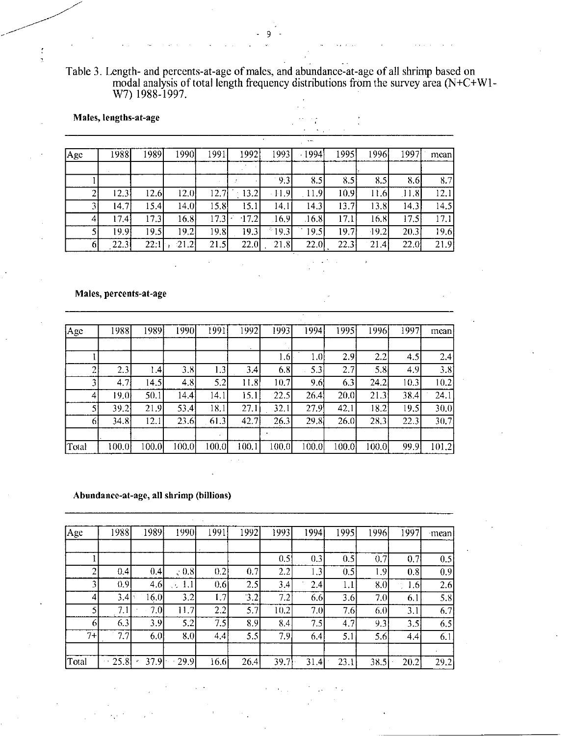Table 3. Length- and percents-at-age of males, and abundance-at-age of all shrimp based on modal analysis of total length frequency distributions from the survey area (N+C+Wl-W7) 1988-1997.

 $\ddot{\cdot}$ 

 $\zeta_{\rm esc}$ 

Males, lengths-at-age Age 1988 1989 1990 1991 1992 1993 1994 1995 1996 1997 mean

| $\sim$ |                   |      |         |      |                   |             |                     |      |         |        |      |
|--------|-------------------|------|---------|------|-------------------|-------------|---------------------|------|---------|--------|------|
|        |                   |      |         |      |                   |             |                     |      |         |        |      |
|        |                   |      |         |      |                   | 9.3         | 8,5                 | 8.5  | 8.5I    | 8.6    | 8.7  |
|        | 12.3              | 12.6 | 12.0    |      | $ 12.7 $ $ 13.2 $ | $-11.9$     | .11.9               | 10.9 | 11.6    | [11.8] | 12.1 |
|        | 14.7 <sup>1</sup> | 15.4 | 14.0    | 15.8 | 15.1              | 14.1        | 14.3                | 13.7 | 13.8    | 14.3   | 14.5 |
|        | 17.4              | 17.3 | 16.8    |      | $17.3$   $17.2$   | 16.9        | .16.8               | 17.1 | 16.8    | 17.5   | 17.1 |
|        | 19.91             | 19.5 | 19.2    | 19.8 | 19.3              |             | $^{\circ}19.3$ 19.5 | 19.7 | $-19.2$ | 20.3   | 19.6 |
|        | 22.3              | 22:1 | $-21.2$ | 21.5 |                   | $22.0$ 21.8 | 22.0                | 22.3 | 21.4    | 22.0   | 21.9 |
|        |                   |      |         |      |                   |             |                     |      |         |        |      |

# Males, percents-at-age

 $\overline{2}$ 

| Age   | 1988             | 1989  | 19901 | 1991  | 1992  | 1993  | 1994  | 1995      | 1996  | 1997 | mean  |
|-------|------------------|-------|-------|-------|-------|-------|-------|-----------|-------|------|-------|
|       |                  |       |       |       |       |       |       |           |       |      |       |
|       |                  |       |       |       |       | 1.6   | 1.0   | 2.9       | 2.2   | 4.5  | 2.4   |
| ◠     | 2.3              | l .41 | 3.8   | 1.3   | 3.4   | 6.8   | 5.3   | 2.7       | 5, 8  | 4.9  | 3.8   |
|       | 4.7 <sub>1</sub> | 14.51 | 4.8   | 5.2   | 11.8  | 10.7  | 9.6   | 6.3       | 24.2  | 10.3 | 10.2  |
| 4     | 19.0)            | 50.1  | 144   | 14.1  | 15.1  | 22.5  | 26.4  | 20.0      | 21.3  | 38.4 | 24.1  |
|       | 39.2             | 21.9  | 53.4  | 18.1  | 27.1  | 32.1  | 27.9  | 42.1      | 18.2  | 19.5 | 30.0  |
| 61    | 34.8             | 12.1  | 23.6  | 61.3  | 42.7  | 26.3  | 29.8  | 26.0      | 28.3  | 22.3 | 30.7  |
|       |                  |       |       |       |       |       |       |           |       |      |       |
| Total | 100.0            | 100.0 | 100.0 | 100.0 | 100.1 | 100.0 | 100.0 | $100.0\,$ | 100.0 | 99.9 | 101.2 |

# Abundance-at-age, all shrimp (billions)

| Age   | 1988 | 1989 | 1990       | 1991 | 1992 | 1993 | 1994 | 1995 | 1996 | 1997 | mean |
|-------|------|------|------------|------|------|------|------|------|------|------|------|
|       |      |      |            |      |      |      |      |      |      |      |      |
|       |      |      |            |      |      | 0.5  | 0.3  | 0.5  | 0.7  | 0.7  | 0.5  |
| າ     | 0.4  | 0.4  | $\,$ , 0.8 | 0.2  | 0.7  | 2.2  | 1.3  | 0.5  | 1.91 | 0.8  | 0.9  |
| 3     | 0.9  | 4.6  | 1.1<br>гN  | 0.6  | 2.5  | 3.4  | 2.4  | 1.1  | 8.0  | 1.6  | 2.6  |
| 4     | 3.4  | 16.0 | 3.2        | 1.7  | 3.2  | 7.2  | 6.6  | 3.6  | 7.0  | 6.1  | 5.8  |
|       | 7.1  | 7.0  | 11.7       | 2.2  | 5.7  | 10.2 | 7.0  | 7.6  | 6.0  | 3.1  | 6.7  |
| 6     | 6.3  | 3.9  | 5.2        | 7.5  | 8.9  | 8.4  | 7.5  | 4.7  | 9.3  | 3.5  | 6.5  |
| $7+$  | 7.7  | 6.0  | 8.0        | 44   | 5.5  | 7.9  | 6.4  | 5.1  | 5.6  | 4.4  | 6.1  |
|       |      |      |            |      |      |      |      |      |      |      |      |
| Total | 25.8 | 37.9 | 29.9       | 16.6 | 26.4 | 39.7 | 31.4 | 23.1 | 38.5 | 20.2 | 29.2 |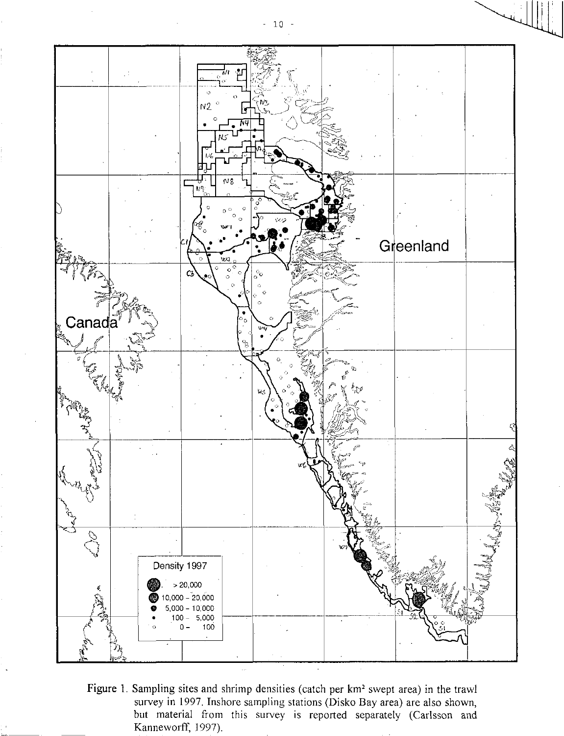

Figure 1. Sampling sites and shrimp densities (catch per km<sup>2</sup> swept area) in the trawl survey in 1997. Inshore sampling stations (Disko Bay area) are also shown, but material from this survey is reported separately (Carlsson and Kanneworff, 1997).

 $-10 -$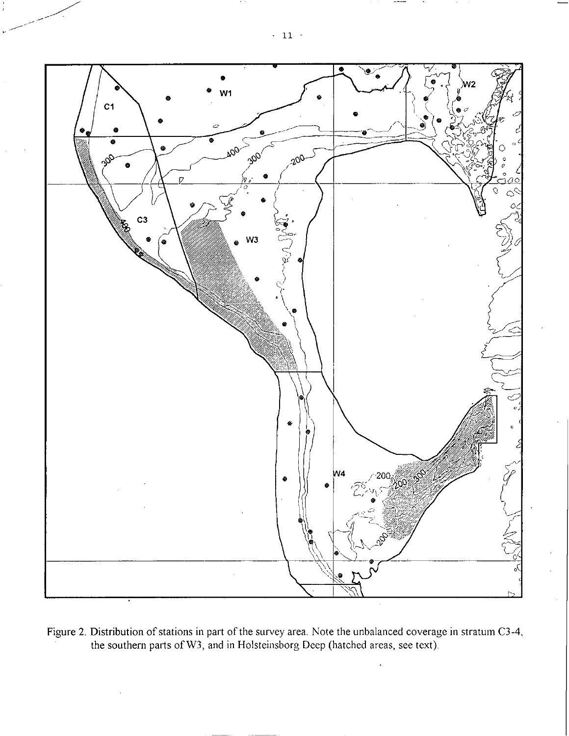

Figure 2. Distribution of stations in part of the survey area. Note the unbalanced coverage in stratum C3-4, the southern parts of W3, and in Holsteinsborg Deep (hatched areas, see text).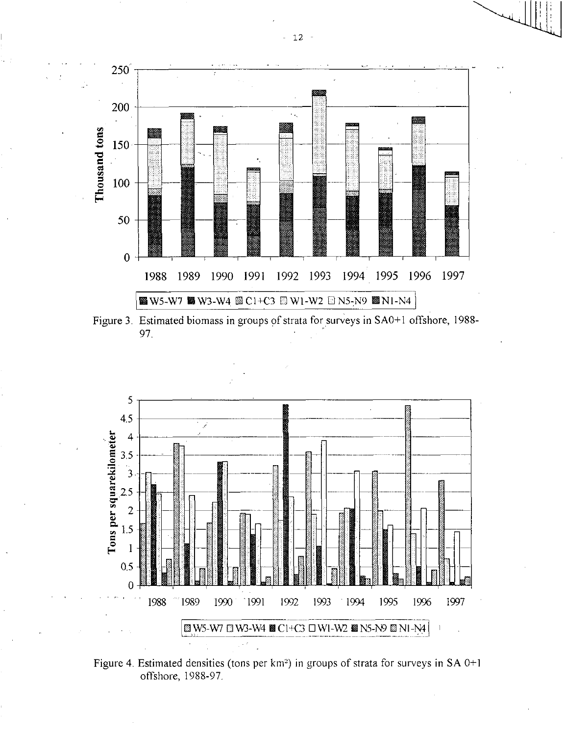

Figure 3. Estimated biomass in groups of strata for surveys in SA0+1 offshore, 1988- 97.



Figure 4. Estimated densities (tons per  $km^2$ ) in groups of strata for surveys in SA 0+1 offshore, 1988-97.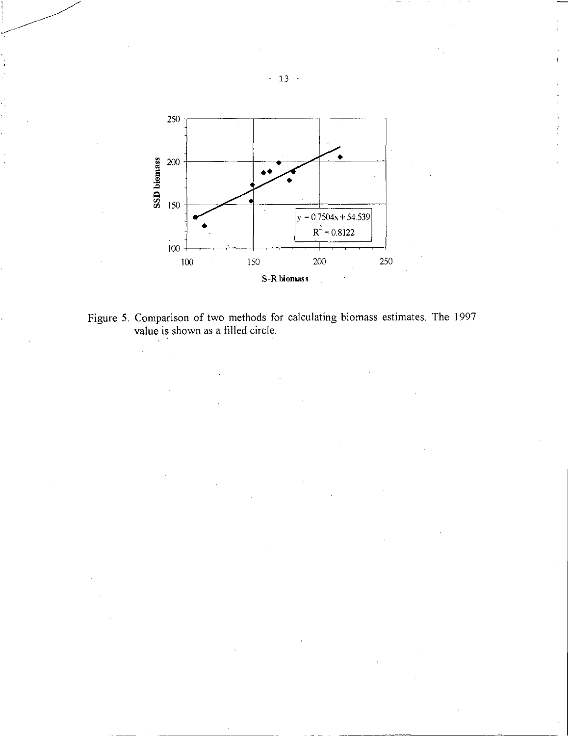

Figure 5. Comparison of two methods for calculating biomass estimates. The 1997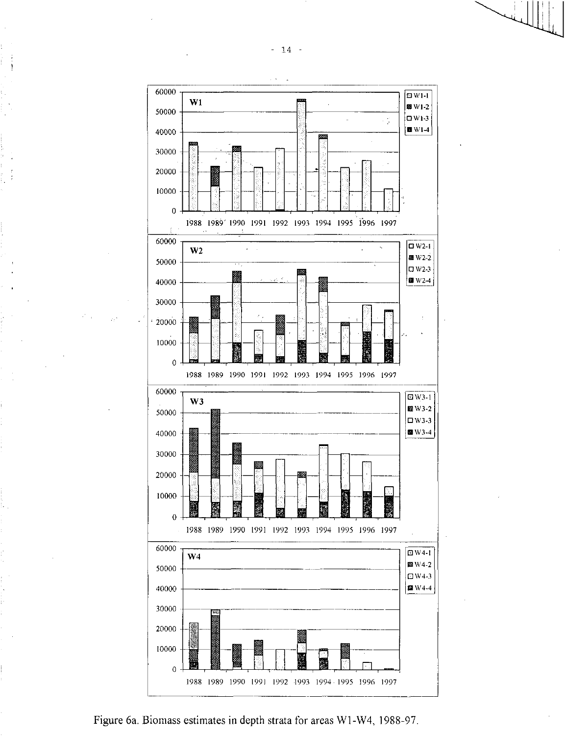

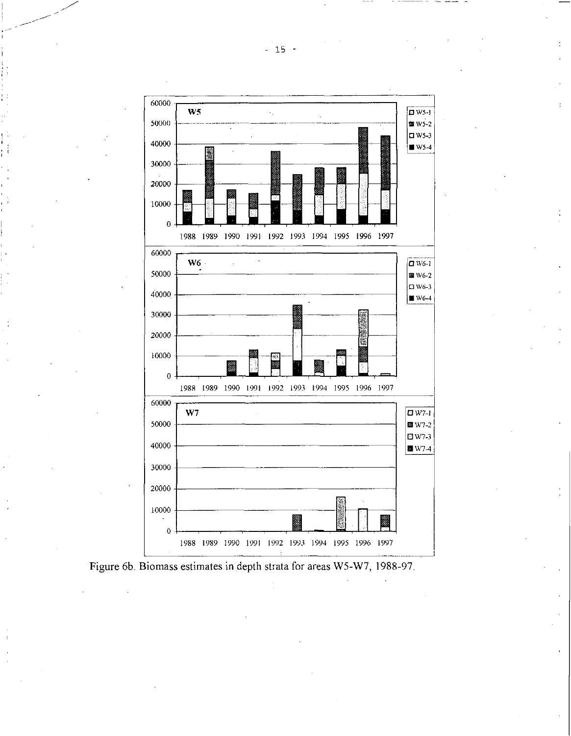



 $-15 -$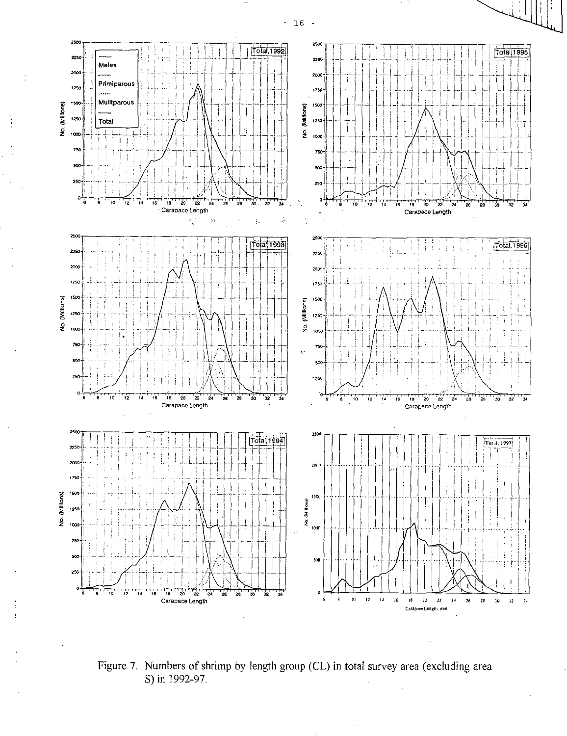

Figure 7. Numbers of shrimp by length group (CL) in total survey area (excluding area S) in 1992-97.

 $-16 -$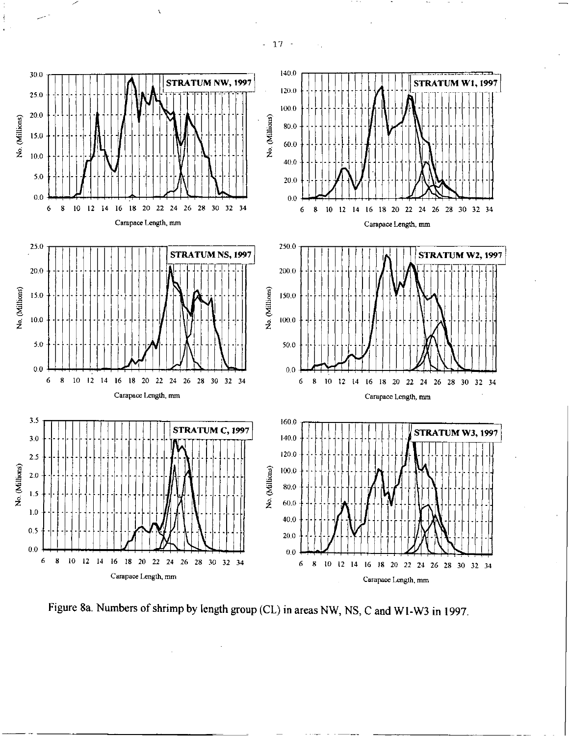- 17 -

 $\overline{\mathbf{r}}$ 



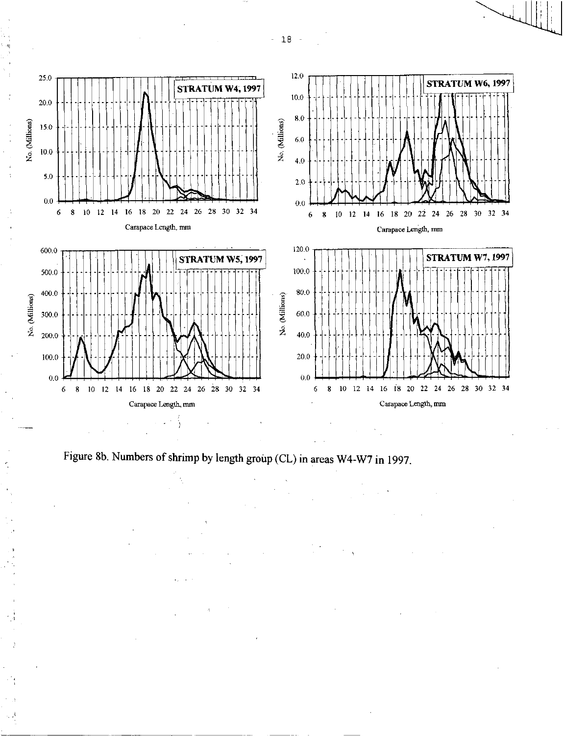

Figure 8b. Numbers of shrimp by length group (CL) in areas W4-W7 in 1997.

- 18 -